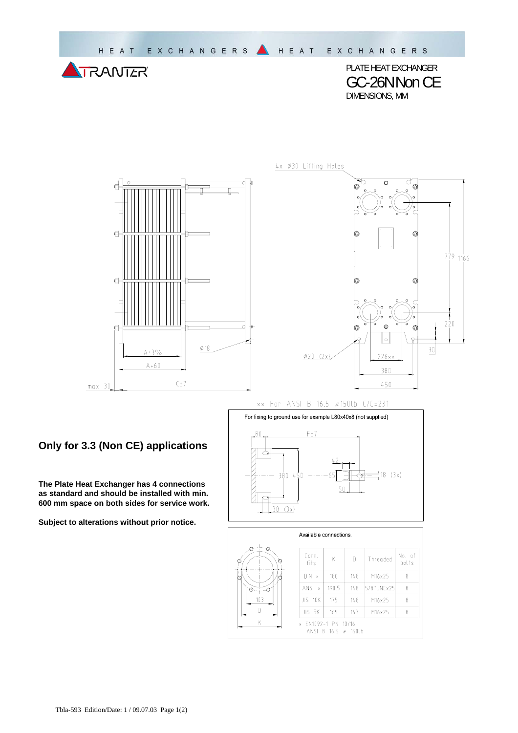

PLATE HEAT EXCHANGER GC-26NNon CE DIMENSIONS, MM



4x Ø30 Lifting Holes



xx For ANSI B 16.5 #150lb C/C=231

## **Only for 3.3 (Non CE) applications**

**The Plate Heat Exchanger has 4 connections as standard and should be installed with min. 600 mm space on both sides for service work.** 

**Subject to alterations without prior notice.**



| Available connections.                                              |                                          |       |     |            |                 |  |  |
|---------------------------------------------------------------------|------------------------------------------|-------|-----|------------|-----------------|--|--|
| Θ.<br>o<br>ø<br>С                                                   | Conn.<br>fits                            | Κ     | D   | Threaded   | No. of<br>bolts |  |  |
|                                                                     | DIN<br>$\boldsymbol{\times}$             | 180   | 148 | M16x25     | 8               |  |  |
| Q.<br>Ð                                                             | <b>ANSI</b><br>$\boldsymbol{\mathsf{x}}$ | 190.5 | 148 | 5/8"UNCx25 | 8               |  |  |
| 103                                                                 | JIS 10K                                  | 175   | 148 | M16x25     | 8               |  |  |
|                                                                     | JIS 5K                                   | 165   | 143 | M16x25     | 8               |  |  |
| Κ<br>EN1092-1 PN 10/16<br>$\mathbf{x}$<br>ANSI B $16.5 \neq 150$ lb |                                          |       |     |            |                 |  |  |